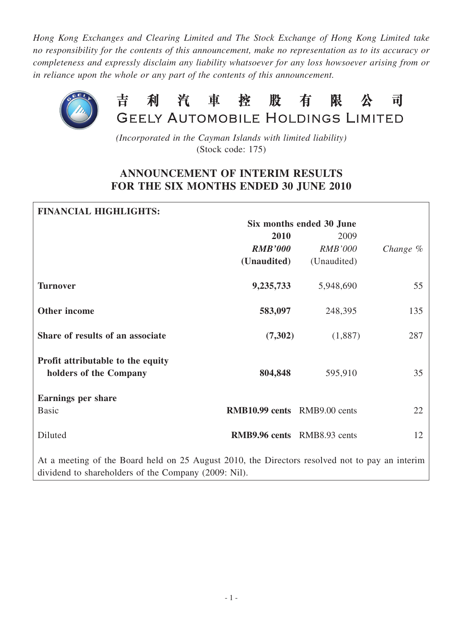*Hong Kong Exchanges and Clearing Limited and The Stock Exchange of Hong Kong Limited take no responsibility for the contents of this announcement, make no representation as to its accuracy or completeness and expressly disclaim any liability whatsoever for any loss howsoever arising from or in reliance upon the whole or any part of the contents of this announcement.*



*(Incorporated in the Cayman Islands with limited liability)* (Stock code: 175)

## **ANNOUNCEMENT OF INTERIM RESULTS FOR THE SIX MONTHS ENDED 30 JUNE 2010**

| <b>FINANCIAL HIGHLIGHTS:</b>                                                                                                                           |                                     |                          |            |
|--------------------------------------------------------------------------------------------------------------------------------------------------------|-------------------------------------|--------------------------|------------|
|                                                                                                                                                        |                                     | Six months ended 30 June |            |
|                                                                                                                                                        | 2010                                | 2009                     |            |
|                                                                                                                                                        | <b>RMB'000</b>                      | <b>RMB'000</b>           | Change $%$ |
|                                                                                                                                                        | (Unaudited)                         | (Unaudited)              |            |
| <b>Turnover</b>                                                                                                                                        | 9,235,733                           | 5,948,690                | 55         |
| <b>Other income</b>                                                                                                                                    | 583,097                             | 248,395                  | 135        |
| Share of results of an associate                                                                                                                       | (7,302)                             | (1,887)                  | 287        |
| Profit attributable to the equity<br>holders of the Company                                                                                            | 804,848                             | 595,910                  | 35         |
| <b>Earnings per share</b>                                                                                                                              |                                     |                          |            |
| <b>Basic</b>                                                                                                                                           | <b>RMB10.99 cents</b> RMB9.00 cents |                          | 22         |
| Diluted                                                                                                                                                | <b>RMB9.96 cents</b> RMB8.93 cents  |                          | 12         |
| At a meeting of the Board held on 25 August 2010, the Directors resolved not to pay an interim<br>dividend to shareholders of the Company (2009: Nil). |                                     |                          |            |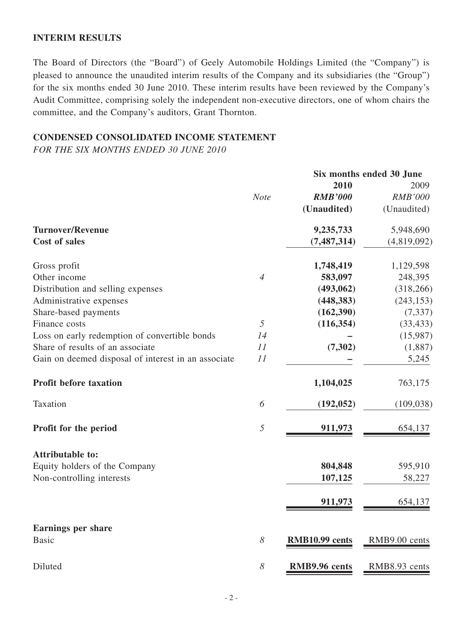### **INTERIM RESULTS**

The Board of Directors (the "Board") of Geely Automobile Holdings Limited (the "Company") is pleased to announce the unaudited interim results of the Company and its subsidiaries (the "Group") for the six months ended 30 June 2010. These interim results have been reviewed by the Company's Audit Committee, comprising solely the independent non-executive directors, one of whom chairs the committee, and the Company's auditors, Grant Thornton.

## **CONDENSED CONSOLIDATED INCOME STATEMENT**

*FOR THE SIX MONTHS ENDED 30 JUNE 2010*

|                                                     | Six months ended 30 June |                |                |
|-----------------------------------------------------|--------------------------|----------------|----------------|
|                                                     |                          | 2010           | 2009           |
|                                                     | <b>Note</b>              | <b>RMB'000</b> | <b>RMB'000</b> |
|                                                     |                          | (Unaudited)    | (Unaudited)    |
| <b>Turnover/Revenue</b>                             |                          | 9,235,733      | 5,948,690      |
| <b>Cost of sales</b>                                |                          | (7, 487, 314)  | (4,819,092)    |
| Gross profit                                        |                          | 1,748,419      | 1,129,598      |
| Other income                                        | $\overline{4}$           | 583,097        | 248,395        |
| Distribution and selling expenses                   |                          | (493,062)      | (318, 266)     |
| Administrative expenses                             |                          | (448, 383)     | (243, 153)     |
| Share-based payments                                |                          | (162, 390)     | (7, 337)       |
| Finance costs                                       | 5                        | (116, 354)     | (33, 433)      |
| Loss on early redemption of convertible bonds       | 14                       |                | (15,987)       |
| Share of results of an associate                    | 11                       | (7, 302)       | (1,887)        |
| Gain on deemed disposal of interest in an associate | 11                       |                | 5,245          |
| <b>Profit before taxation</b>                       |                          | 1,104,025      | 763,175        |
| Taxation                                            | 6                        | (192, 052)     | (109, 038)     |
| Profit for the period                               | 5                        | 911,973        | 654,137        |
| <b>Attributable to:</b>                             |                          |                |                |
| Equity holders of the Company                       |                          | 804,848        | 595,910        |
| Non-controlling interests                           |                          | 107,125        | 58,227         |
|                                                     |                          | 911,973        | 654,137        |
|                                                     |                          |                |                |
| <b>Earnings per share</b>                           |                          |                |                |
| <b>Basic</b>                                        | 8                        | RMB10.99 cents | RMB9.00 cents  |
| Diluted                                             | 8                        | RMB9.96 cents  | RMB8.93 cents  |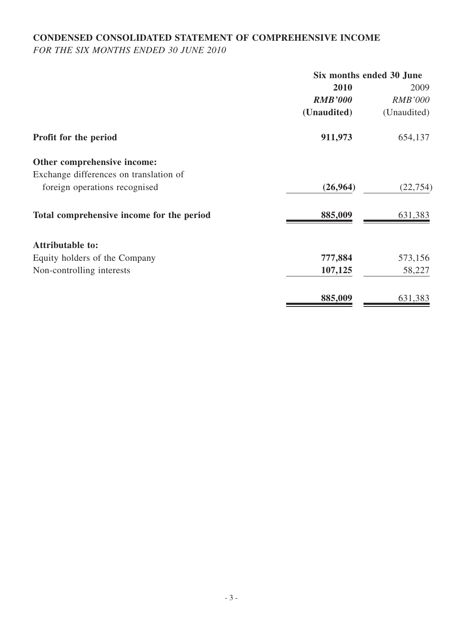# **CONDENSED CONSOLIDATED STATEMENT OF COMPREHENSIVE INCOME**

*FOR THE SIX MONTHS ENDED 30 JUNE 2010*

|                                           | Six months ended 30 June |                |  |
|-------------------------------------------|--------------------------|----------------|--|
|                                           | 2010                     | 2009           |  |
|                                           | <b>RMB'000</b>           | <b>RMB'000</b> |  |
|                                           | (Unaudited)              | (Unaudited)    |  |
| Profit for the period                     | 911,973                  | 654,137        |  |
| Other comprehensive income:               |                          |                |  |
| Exchange differences on translation of    |                          |                |  |
| foreign operations recognised             | (26,964)                 | (22, 754)      |  |
| Total comprehensive income for the period | 885,009                  | 631,383        |  |
| <b>Attributable to:</b>                   |                          |                |  |
| Equity holders of the Company             | 777,884                  | 573,156        |  |
| Non-controlling interests                 | 107,125                  | 58,227         |  |
|                                           | 885,009                  | 631,383        |  |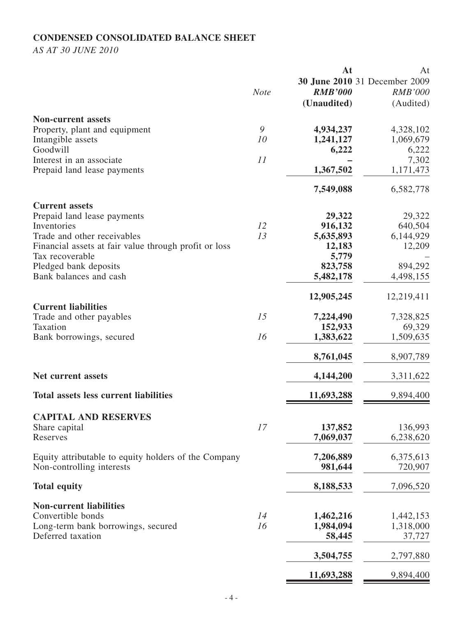## **CONDENSED CONSOLIDATED BALANCE SHEET**

*AS AT 30 JUNE 2010*

|                                                       |             | At             | At                            |
|-------------------------------------------------------|-------------|----------------|-------------------------------|
|                                                       |             |                | 30 June 2010 31 December 2009 |
|                                                       | <b>Note</b> | <b>RMB'000</b> | <b>RMB'000</b>                |
|                                                       |             | (Unaudited)    | (Audited)                     |
|                                                       |             |                |                               |
| <b>Non-current assets</b>                             |             |                |                               |
| Property, plant and equipment                         | 9           | 4,934,237      | 4,328,102                     |
| Intangible assets                                     | 10          | 1,241,127      | 1,069,679                     |
| Goodwill                                              |             | 6,222          | 6,222                         |
| Interest in an associate                              | 11          |                | 7,302                         |
|                                                       |             |                |                               |
| Prepaid land lease payments                           |             | 1,367,502      | 1,171,473                     |
|                                                       |             |                |                               |
|                                                       |             | 7,549,088      | 6,582,778                     |
| <b>Current assets</b>                                 |             |                |                               |
| Prepaid land lease payments                           |             | 29,322         | 29,322                        |
| Inventories                                           | 12          | 916,132        | 640,504                       |
|                                                       | 13          |                |                               |
| Trade and other receivables                           |             | 5,635,893      | 6,144,929                     |
| Financial assets at fair value through profit or loss |             | 12,183         | 12,209                        |
| Tax recoverable                                       |             | 5,779          |                               |
| Pledged bank deposits                                 |             | 823,758        | 894,292                       |
| Bank balances and cash                                |             | 5,482,178      | 4,498,155                     |
|                                                       |             |                |                               |
|                                                       |             | 12,905,245     | 12,219,411                    |
| <b>Current liabilities</b>                            |             |                |                               |
| Trade and other payables                              | 15          | 7,224,490      | 7,328,825                     |
|                                                       |             |                |                               |
| Taxation                                              |             | 152,933        | 69,329                        |
| Bank borrowings, secured                              | 16          | 1,383,622      | 1,509,635                     |
|                                                       |             |                |                               |
|                                                       |             | 8,761,045      | 8,907,789                     |
|                                                       |             |                |                               |
| <b>Net current assets</b>                             |             | 4,144,200      | 3,311,622                     |
|                                                       |             |                |                               |
| <b>Total assets less current liabilities</b>          |             | 11,693,288     | 9,894,400                     |
|                                                       |             |                |                               |
| <b>CAPITAL AND RESERVES</b>                           |             |                |                               |
| Share capital                                         | 17          | 137,852        | 136,993                       |
| Reserves                                              |             | 7,069,037      | 6,238,620                     |
|                                                       |             |                |                               |
| Equity attributable to equity holders of the Company  |             | 7,206,889      | 6,375,613                     |
| Non-controlling interests                             |             | 981,644        | 720,907                       |
|                                                       |             |                |                               |
| <b>Total equity</b>                                   |             | 8,188,533      | 7,096,520                     |
|                                                       |             |                |                               |
| <b>Non-current liabilities</b>                        |             |                |                               |
|                                                       |             |                |                               |
| Convertible bonds                                     | 14          | 1,462,216      | 1,442,153                     |
| Long-term bank borrowings, secured                    | 16          | 1,984,094      | 1,318,000                     |
| Deferred taxation                                     |             | 58,445         | 37,727                        |
|                                                       |             |                |                               |
|                                                       |             | 3,504,755      | 2,797,880                     |
|                                                       |             |                |                               |
|                                                       |             | 11,693,288     | 9,894,400                     |
|                                                       |             |                |                               |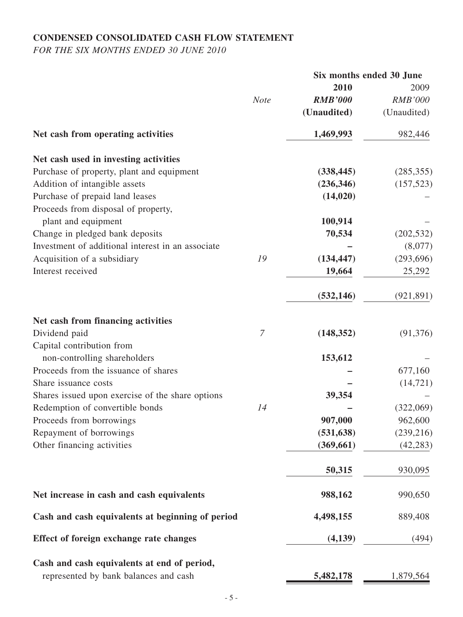## **CONDENSED CONSOLIDATED CASH FLOW STATEMENT**

*FOR THE SIX MONTHS ENDED 30 JUNE 2010*

|                                                   |                |                | Six months ended 30 June |
|---------------------------------------------------|----------------|----------------|--------------------------|
|                                                   |                | 2010           | 2009                     |
|                                                   | <b>Note</b>    | <b>RMB'000</b> | <b>RMB'000</b>           |
|                                                   |                | (Unaudited)    | (Unaudited)              |
| Net cash from operating activities                |                | 1,469,993      | 982,446                  |
| Net cash used in investing activities             |                |                |                          |
| Purchase of property, plant and equipment         |                | (338, 445)     | (285, 355)               |
| Addition of intangible assets                     |                | (236, 346)     | (157, 523)               |
| Purchase of prepaid land leases                   |                | (14, 020)      |                          |
| Proceeds from disposal of property,               |                |                |                          |
| plant and equipment                               |                | 100,914        |                          |
| Change in pledged bank deposits                   |                | 70,534         | (202, 532)               |
| Investment of additional interest in an associate |                |                | (8,077)                  |
| Acquisition of a subsidiary                       | 19             | (134, 447)     | (293, 696)               |
| Interest received                                 |                | 19,664         | 25,292                   |
|                                                   |                | (532, 146)     | (921, 891)               |
| Net cash from financing activities                |                |                |                          |
| Dividend paid                                     | $\overline{7}$ | (148, 352)     | (91, 376)                |
| Capital contribution from                         |                |                |                          |
| non-controlling shareholders                      |                | 153,612        |                          |
| Proceeds from the issuance of shares              |                |                | 677,160                  |
| Share issuance costs                              |                |                | (14, 721)                |
| Shares issued upon exercise of the share options  |                | 39,354         |                          |
| Redemption of convertible bonds                   | 14             |                | (322,069)                |
| Proceeds from borrowings                          |                | 907,000        | 962,600                  |
| Repayment of borrowings                           |                | (531, 638)     | (239, 216)               |
| Other financing activities                        |                | (369, 661)     | (42, 283)                |
|                                                   |                | 50,315         | 930,095                  |
| Net increase in cash and cash equivalents         |                | 988,162        | 990,650                  |
| Cash and cash equivalents at beginning of period  |                | 4,498,155      | 889,408                  |
| Effect of foreign exchange rate changes           |                | (4,139)        | (494)                    |
| Cash and cash equivalents at end of period,       |                |                |                          |
| represented by bank balances and cash             |                | 5,482,178      | 1,879,564                |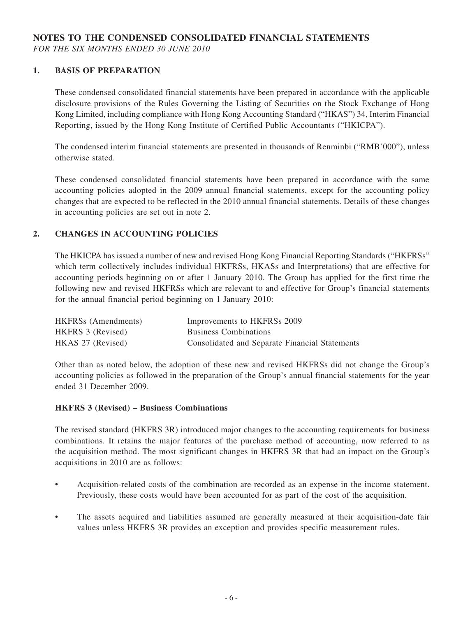### **NOTES TO THE CONDENSED CONSOLIDATED FINANCIAL STATEMENTS**

*FOR THE SIX MONTHS ENDED 30 JUNE 2010*

#### **1. BASIS OF PREPARATION**

These condensed consolidated financial statements have been prepared in accordance with the applicable disclosure provisions of the Rules Governing the Listing of Securities on the Stock Exchange of Hong Kong Limited, including compliance with Hong Kong Accounting Standard ("HKAS") 34, Interim Financial Reporting, issued by the Hong Kong Institute of Certified Public Accountants ("HKICPA").

The condensed interim financial statements are presented in thousands of Renminbi ("RMB'000"), unless otherwise stated.

These condensed consolidated financial statements have been prepared in accordance with the same accounting policies adopted in the 2009 annual financial statements, except for the accounting policy changes that are expected to be reflected in the 2010 annual financial statements. Details of these changes in accounting policies are set out in note 2.

#### **2. CHANGES IN ACCOUNTING POLICIES**

The HKICPA has issued a number of new and revised Hong Kong Financial Reporting Standards ("HKFRSs" which term collectively includes individual HKFRSs, HKASs and Interpretations) that are effective for accounting periods beginning on or after 1 January 2010. The Group has applied for the first time the following new and revised HKFRSs which are relevant to and effective for Group's financial statements for the annual financial period beginning on 1 January 2010:

| <b>HKFRSs</b> (Amendments) | Improvements to HKFRSs 2009                    |
|----------------------------|------------------------------------------------|
| HKFRS 3 (Revised)          | <b>Business Combinations</b>                   |
| HKAS 27 (Revised)          | Consolidated and Separate Financial Statements |

Other than as noted below, the adoption of these new and revised HKFRSs did not change the Group's accounting policies as followed in the preparation of the Group's annual financial statements for the year ended 31 December 2009.

#### **HKFRS 3 (Revised) – Business Combinations**

The revised standard (HKFRS 3R) introduced major changes to the accounting requirements for business combinations. It retains the major features of the purchase method of accounting, now referred to as the acquisition method. The most significant changes in HKFRS 3R that had an impact on the Group's acquisitions in 2010 are as follows:

- Acquisition-related costs of the combination are recorded as an expense in the income statement. Previously, these costs would have been accounted for as part of the cost of the acquisition.
- The assets acquired and liabilities assumed are generally measured at their acquisition-date fair values unless HKFRS 3R provides an exception and provides specific measurement rules.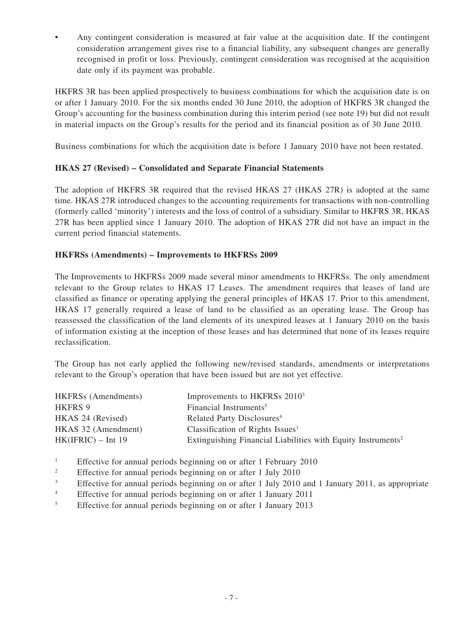• Any contingent consideration is measured at fair value at the acquisition date. If the contingent consideration arrangement gives rise to a financial liability, any subsequent changes are generally recognised in profit or loss. Previously, contingent consideration was recognised at the acquisition date only if its payment was probable.

HKFRS 3R has been applied prospectively to business combinations for which the acquisition date is on or after 1 January 2010. For the six months ended 30 June 2010, the adoption of HKFRS 3R changed the Group's accounting for the business combination during this interim period (see note 19) but did not result in material impacts on the Group's results for the period and its financial position as of 30 June 2010.

Business combinations for which the acquisition date is before 1 January 2010 have not been restated.

### **HKAS 27 (Revised) – Consolidated and Separate Financial Statements**

The adoption of HKFRS 3R required that the revised HKAS 27 (HKAS 27R) is adopted at the same time. HKAS 27R introduced changes to the accounting requirements for transactions with non-controlling (formerly called 'minority') interests and the loss of control of a subsidiary. Similar to HKFRS 3R, HKAS 27R has been applied since 1 January 2010. The adoption of HKAS 27R did not have an impact in the current period financial statements.

### **HKFRSs (Amendments) – Improvements to HKFRSs 2009**

The Improvements to HKFRSs 2009 made several minor amendments to HKFRSs. The only amendment relevant to the Group relates to HKAS 17 Leases. The amendment requires that leases of land are classified as finance or operating applying the general principles of HKAS 17. Prior to this amendment, HKAS 17 generally required a lease of land to be classified as an operating lease. The Group has reassessed the classification of the land elements of its unexpired leases at 1 January 2010 on the basis of information existing at the inception of those leases and has determined that none of its leases require reclassification.

The Group has not early applied the following new/revised standards, amendments or interpretations relevant to the Group's operation that have been issued but are not yet effective.

| <b>HKFRSs</b> (Amendments) | Improvements to HKFRSs 2010 <sup>3</sup>                                 |
|----------------------------|--------------------------------------------------------------------------|
| HKFRS 9                    | Financial Instruments <sup>5</sup>                                       |
| HKAS 24 (Revised)          | Related Party Disclosures <sup>4</sup>                                   |
| HKAS 32 (Amendment)        | Classification of Rights Issues <sup>1</sup>                             |
| $HK(IFRIC) - Int 19$       | Extinguishing Financial Liabilities with Equity Instruments <sup>2</sup> |

- <sup>1</sup> Effective for annual periods beginning on or after 1 February 2010
- <sup>2</sup> Effective for annual periods beginning on or after 1 July 2010
- <sup>3</sup> Effective for annual periods beginning on or after 1 July 2010 and 1 January 2011, as appropriate
- <sup>4</sup> Effective for annual periods beginning on or after 1 January 2011
- <sup>5</sup> Effective for annual periods beginning on or after 1 January 2013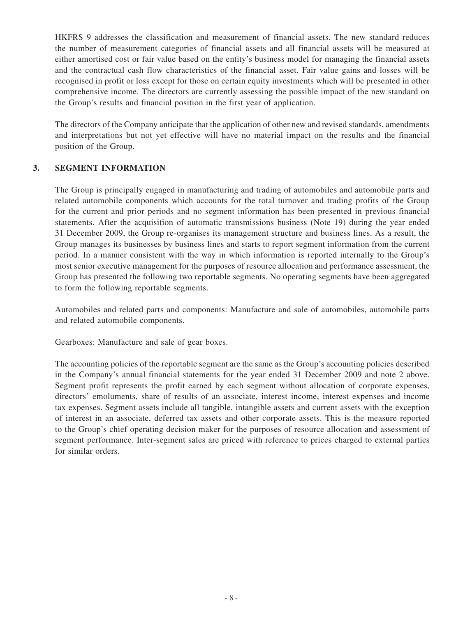HKFRS 9 addresses the classification and measurement of financial assets. The new standard reduces the number of measurement categories of financial assets and all financial assets will be measured at either amortised cost or fair value based on the entity's business model for managing the financial assets and the contractual cash flow characteristics of the financial asset. Fair value gains and losses will be recognised in profit or loss except for those on certain equity investments which will be presented in other comprehensive income. The directors are currently assessing the possible impact of the new standard on the Group's results and financial position in the first year of application.

The directors of the Company anticipate that the application of other new and revised standards, amendments and interpretations but not yet effective will have no material impact on the results and the financial position of the Group.

### **3. SEGMENT INFORMATION**

The Group is principally engaged in manufacturing and trading of automobiles and automobile parts and related automobile components which accounts for the total turnover and trading profits of the Group for the current and prior periods and no segment information has been presented in previous financial statements. After the acquisition of automatic transmissions business (Note 19) during the year ended 31 December 2009, the Group re-organises its management structure and business lines. As a result, the Group manages its businesses by business lines and starts to report segment information from the current period. In a manner consistent with the way in which information is reported internally to the Group's most senior executive management for the purposes of resource allocation and performance assessment, the Group has presented the following two reportable segments. No operating segments have been aggregated to form the following reportable segments.

Automobiles and related parts and components: Manufacture and sale of automobiles, automobile parts and related automobile components.

Gearboxes: Manufacture and sale of gear boxes.

The accounting policies of the reportable segment are the same as the Group's accounting policies described in the Company's annual financial statements for the year ended 31 December 2009 and note 2 above. Segment profit represents the profit earned by each segment without allocation of corporate expenses, directors' emoluments, share of results of an associate, interest income, interest expenses and income tax expenses. Segment assets include all tangible, intangible assets and current assets with the exception of interest in an associate, deferred tax assets and other corporate assets. This is the measure reported to the Group's chief operating decision maker for the purposes of resource allocation and assessment of segment performance. Inter-segment sales are priced with reference to prices charged to external parties for similar orders.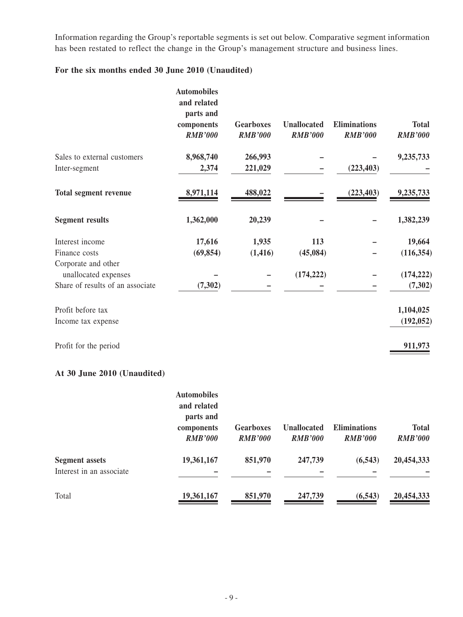Information regarding the Group's reportable segments is set out below. Comparative segment information has been restated to reflect the change in the Group's management structure and business lines.

### **For the six months ended 30 June 2010 (Unaudited)**

|                                  | <b>Automobiles</b><br>and related<br>parts and<br>components<br><b>RMB'000</b> | <b>Gearboxes</b><br><b>RMB'000</b> | <b>Unallocated</b><br><b>RMB'000</b> | <b>Eliminations</b><br><b>RMB'000</b> | <b>Total</b><br><b>RMB'000</b> |
|----------------------------------|--------------------------------------------------------------------------------|------------------------------------|--------------------------------------|---------------------------------------|--------------------------------|
| Sales to external customers      | 8,968,740                                                                      | 266,993                            |                                      |                                       | 9,235,733                      |
| Inter-segment                    | 2,374                                                                          | 221,029                            |                                      | (223, 403)                            |                                |
| <b>Total segment revenue</b>     | 8,971,114                                                                      | 488,022                            |                                      | (223, 403)                            | 9,235,733                      |
| <b>Segment results</b>           | 1,362,000                                                                      | 20,239                             |                                      |                                       | 1,382,239                      |
| Interest income                  | 17,616                                                                         | 1,935                              | 113                                  |                                       | 19,664                         |
| Finance costs                    | (69, 854)                                                                      | (1, 416)                           | (45,084)                             |                                       | (116, 354)                     |
| Corporate and other              |                                                                                |                                    |                                      |                                       |                                |
| unallocated expenses             |                                                                                |                                    | (174, 222)                           |                                       | (174, 222)                     |
| Share of results of an associate | (7, 302)                                                                       |                                    |                                      |                                       | (7, 302)                       |
| Profit before tax                |                                                                                |                                    |                                      |                                       | 1,104,025                      |
| Income tax expense               |                                                                                |                                    |                                      |                                       | (192, 052)                     |
| Profit for the period            |                                                                                |                                    |                                      |                                       | 911,973                        |

## **At 30 June 2010 (Unaudited)**

|                                                   | <b>Automobiles</b><br>and related<br>parts and<br>components<br><b>RMB'000</b> | <b>Gearboxes</b><br><b>RMB'000</b> | <b>Unallocated</b><br><b>RMB'000</b> | <b>Eliminations</b><br><b>RMB'000</b> | <b>Total</b><br><b>RMB'000</b> |
|---------------------------------------------------|--------------------------------------------------------------------------------|------------------------------------|--------------------------------------|---------------------------------------|--------------------------------|
| <b>Segment</b> assets<br>Interest in an associate | 19,361,167                                                                     | 851,970                            | 247,739                              | (6, 543)                              | 20,454,333                     |
| Total                                             | 19,361,167                                                                     | 851,970                            | 247,739                              | (6, 543)                              | 20,454,333                     |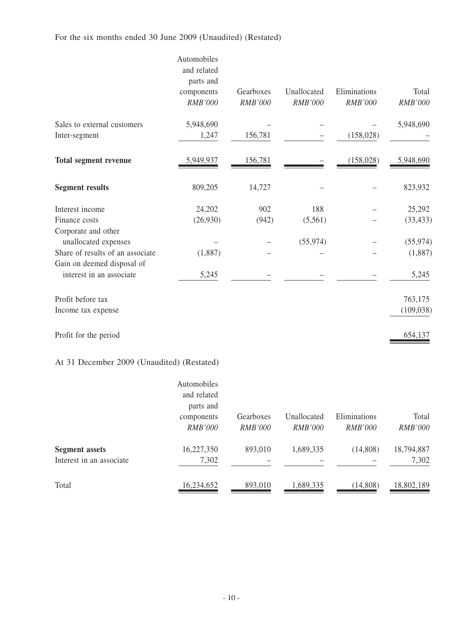## For the six months ended 30 June 2009 (Unaudited) (Restated)

|                                             | Automobiles<br>and related<br>parts and<br>components<br><b>RMB'000</b> | Gearboxes<br><b>RMB'000</b> | Unallocated<br>RMB'000 | Eliminations<br>RMB'000 | Total<br>RMB'000 |
|---------------------------------------------|-------------------------------------------------------------------------|-----------------------------|------------------------|-------------------------|------------------|
| Sales to external customers                 | 5,948,690                                                               |                             |                        |                         | 5,948,690        |
| Inter-segment                               | 1,247                                                                   | 156,781                     |                        | (158, 028)              |                  |
| <b>Total segment revenue</b>                | 5,949,937                                                               | <u>156,781</u>              |                        | (158, 028)              | 5,948,690        |
| <b>Segment results</b>                      | 809,205                                                                 | 14,727                      |                        |                         | 823,932          |
| Interest income                             | 24,202                                                                  | 902                         | 188                    |                         | 25,292           |
| Finance costs                               | (26,930)                                                                | (942)                       | (5,561)                |                         | (33, 433)        |
| Corporate and other<br>unallocated expenses |                                                                         |                             | (55, 974)              |                         | (55, 974)        |
| Share of results of an associate            | (1,887)                                                                 |                             |                        |                         | (1,887)          |
| Gain on deemed disposal of                  |                                                                         |                             |                        |                         |                  |
| interest in an associate                    | 5,245                                                                   |                             |                        |                         | 5,245            |
| Profit before tax                           |                                                                         |                             |                        |                         | 763,175          |
| Income tax expense                          |                                                                         |                             |                        |                         | (109, 038)       |
| Profit for the period                       |                                                                         |                             |                        |                         | 654,137          |

### At 31 December 2009 (Unaudited) (Restated)

|                          | Automobiles                  |                             |                               |                                |                         |
|--------------------------|------------------------------|-----------------------------|-------------------------------|--------------------------------|-------------------------|
|                          | and related<br>parts and     |                             |                               |                                |                         |
|                          | components<br><b>RMB'000</b> | Gearboxes<br><b>RMB'000</b> | Unallocated<br><i>RMB'000</i> | Eliminations<br><i>RMB'000</i> | Total<br><b>RMB'000</b> |
| <b>Segment</b> assets    | 16,227,350                   | 893,010                     | 1,689,335                     | (14,808)                       | 18,794,887              |
| Interest in an associate | 7,302                        |                             |                               |                                | 7,302                   |
| Total                    | 16,234,652                   | 893,010                     | 1,689,335                     | (14, 808)                      | 18,802,189              |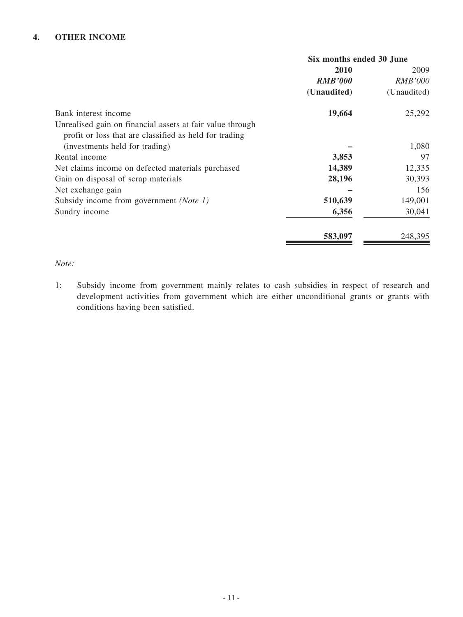### **4. OTHER INCOME**

| Six months ended 30 June |                |  |
|--------------------------|----------------|--|
| 2010                     | 2009           |  |
| <b>RMB'000</b>           | <i>RMB'000</i> |  |
| (Unaudited)              | (Unaudited)    |  |
| 19,664                   | 25,292         |  |
|                          |                |  |
|                          |                |  |
|                          | 1,080          |  |
| 3,853                    | 97             |  |
| 14,389                   | 12,335         |  |
| 28,196                   | 30,393         |  |
|                          | 156            |  |
| 510,639                  | 149,001        |  |
| 6,356                    | 30,041         |  |
| 583,097                  | 248,395        |  |
|                          |                |  |

### *Note:*

1: Subsidy income from government mainly relates to cash subsidies in respect of research and development activities from government which are either unconditional grants or grants with conditions having been satisfied.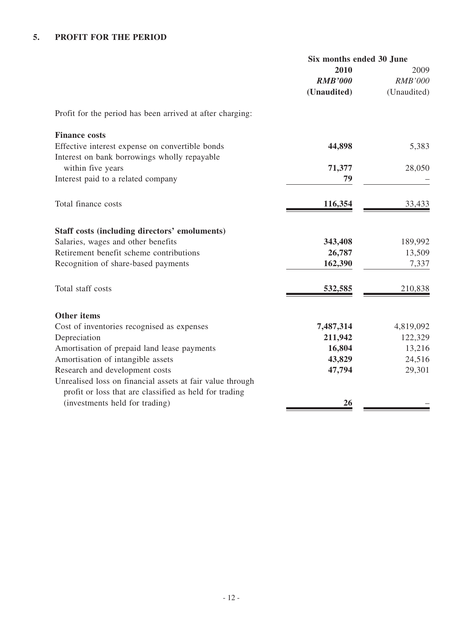|                                                           | Six months ended 30 June |                |
|-----------------------------------------------------------|--------------------------|----------------|
|                                                           | 2010                     | 2009           |
|                                                           | <b>RMB'000</b>           | <b>RMB'000</b> |
|                                                           | (Unaudited)              | (Unaudited)    |
| Profit for the period has been arrived at after charging: |                          |                |
| <b>Finance costs</b>                                      |                          |                |
| Effective interest expense on convertible bonds           | 44,898                   | 5,383          |
| Interest on bank borrowings wholly repayable              |                          |                |
| within five years                                         | 71,377                   | 28,050         |
| Interest paid to a related company                        | 79                       |                |
| Total finance costs                                       | 116,354                  | 33,433         |
|                                                           |                          |                |
| <b>Staff costs (including directors' emoluments)</b>      |                          |                |
| Salaries, wages and other benefits                        | 343,408                  | 189,992        |
| Retirement benefit scheme contributions                   | 26,787                   | 13,509         |
| Recognition of share-based payments                       | 162,390                  | 7,337          |
| Total staff costs                                         | 532,585                  | 210,838        |
| <b>Other items</b>                                        |                          |                |
| Cost of inventories recognised as expenses                | 7,487,314                | 4,819,092      |
| Depreciation                                              | 211,942                  | 122,329        |
| Amortisation of prepaid land lease payments               | 16,804                   | 13,216         |
| Amortisation of intangible assets                         | 43,829                   | 24,516         |
| Research and development costs                            | 47,794                   | 29,301         |
| Unrealised loss on financial assets at fair value through |                          |                |
| profit or loss that are classified as held for trading    |                          |                |
| (investments held for trading)                            | 26                       |                |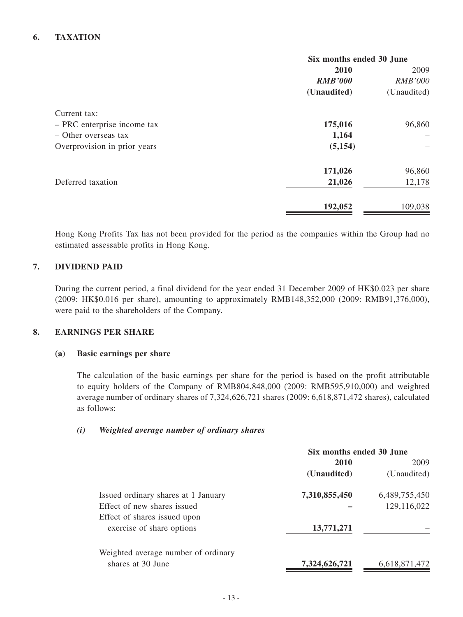### **6. TAXATION**

|                              | Six months ended 30 June |                |
|------------------------------|--------------------------|----------------|
|                              | 2010                     | 2009           |
|                              | <b>RMB'000</b>           | <b>RMB'000</b> |
|                              | (Unaudited)              | (Unaudited)    |
| Current tax:                 |                          |                |
| - PRC enterprise income tax  | 175,016                  | 96,860         |
| - Other overseas tax         | 1,164                    |                |
| Overprovision in prior years | (5, 154)                 |                |
|                              | 171,026                  | 96,860         |
| Deferred taxation            | 21,026                   | 12,178         |
|                              | 192,052                  | 109,038        |
|                              |                          |                |

Hong Kong Profits Tax has not been provided for the period as the companies within the Group had no estimated assessable profits in Hong Kong.

### **7. DIVIDEND PAID**

During the current period, a final dividend for the year ended 31 December 2009 of HK\$0.023 per share (2009: HK\$0.016 per share), amounting to approximately RMB148,352,000 (2009: RMB91,376,000), were paid to the shareholders of the Company.

#### **8. EARNINGS PER SHARE**

#### **(a) Basic earnings per share**

The calculation of the basic earnings per share for the period is based on the profit attributable to equity holders of the Company of RMB804,848,000 (2009: RMB595,910,000) and weighted average number of ordinary shares of 7,324,626,721 shares (2009: 6,618,871,472 shares), calculated as follows:

#### *(i) Weighted average number of ordinary shares*

|                                     | Six months ended 30 June |               |
|-------------------------------------|--------------------------|---------------|
|                                     | 2010                     | 2009          |
|                                     | (Unaudited)              | (Unaudited)   |
| Issued ordinary shares at 1 January | 7,310,855,450            | 6,489,755,450 |
| Effect of new shares issued         |                          | 129,116,022   |
| Effect of shares issued upon        |                          |               |
| exercise of share options           | 13,771,271               |               |
| Weighted average number of ordinary |                          |               |
| shares at 30 June                   | 7,324,626,721            | 6,618,871,472 |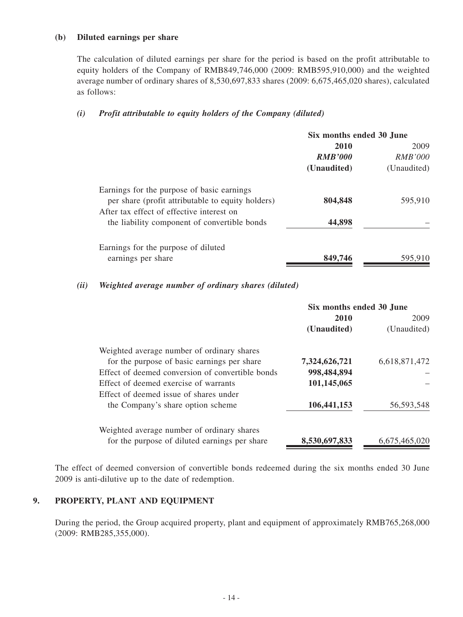#### **(b) Diluted earnings per share**

The calculation of diluted earnings per share for the period is based on the profit attributable to equity holders of the Company of RMB849,746,000 (2009: RMB595,910,000) and the weighted average number of ordinary shares of 8,530,697,833 shares (2009: 6,675,465,020 shares), calculated as follows:

### *(i) Profit attributable to equity holders of the Company (diluted)*

|                                                                                                                                              | Six months ended 30 June |             |  |  |  |  |  |  |  |  |  |  |  |  |  |  |  |  |  |  |  |  |  |  |  |  |  |  |  |  |  |  |  |  |  |  |  |  |  |  |  |  |  |  |  |  |  |
|----------------------------------------------------------------------------------------------------------------------------------------------|--------------------------|-------------|--|--|--|--|--|--|--|--|--|--|--|--|--|--|--|--|--|--|--|--|--|--|--|--|--|--|--|--|--|--|--|--|--|--|--|--|--|--|--|--|--|--|--|--|--|
|                                                                                                                                              | 2010<br><b>RMB'000</b>   | 2009        |  |  |  |  |  |  |  |  |  |  |  |  |  |  |  |  |  |  |  |  |  |  |  |  |  |  |  |  |  |  |  |  |  |  |  |  |  |  |  |  |  |  |  |  |  |
|                                                                                                                                              |                          |             |  |  |  |  |  |  |  |  |  |  |  |  |  |  |  |  |  |  |  |  |  |  |  |  |  |  |  |  |  |  |  |  |  |  |  |  |  |  |  |  |  |  |  |  |  |
|                                                                                                                                              | (Unaudited)              | (Unaudited) |  |  |  |  |  |  |  |  |  |  |  |  |  |  |  |  |  |  |  |  |  |  |  |  |  |  |  |  |  |  |  |  |  |  |  |  |  |  |  |  |  |  |  |  |  |
| Earnings for the purpose of basic earnings<br>per share (profit attributable to equity holders)<br>After tax effect of effective interest on | 804,848                  | 595,910     |  |  |  |  |  |  |  |  |  |  |  |  |  |  |  |  |  |  |  |  |  |  |  |  |  |  |  |  |  |  |  |  |  |  |  |  |  |  |  |  |  |  |  |  |  |
| the liability component of convertible bonds                                                                                                 | 44,898                   |             |  |  |  |  |  |  |  |  |  |  |  |  |  |  |  |  |  |  |  |  |  |  |  |  |  |  |  |  |  |  |  |  |  |  |  |  |  |  |  |  |  |  |  |  |  |
| Earnings for the purpose of diluted<br>earnings per share                                                                                    | 849,746                  | 595,910     |  |  |  |  |  |  |  |  |  |  |  |  |  |  |  |  |  |  |  |  |  |  |  |  |  |  |  |  |  |  |  |  |  |  |  |  |  |  |  |  |  |  |  |  |  |
|                                                                                                                                              |                          |             |  |  |  |  |  |  |  |  |  |  |  |  |  |  |  |  |  |  |  |  |  |  |  |  |  |  |  |  |  |  |  |  |  |  |  |  |  |  |  |  |  |  |  |  |  |

#### *(ii) Weighted average number of ordinary shares (diluted)*

|                                                  | Six months ended 30 June |               |  |
|--------------------------------------------------|--------------------------|---------------|--|
|                                                  | 2010                     | 2009          |  |
|                                                  | (Unaudited)              | (Unaudited)   |  |
| Weighted average number of ordinary shares       |                          |               |  |
| for the purpose of basic earnings per share      | 7,324,626,721            | 6,618,871,472 |  |
| Effect of deemed conversion of convertible bonds | 998,484,894              |               |  |
| Effect of deemed exercise of warrants            | 101,145,065              |               |  |
| Effect of deemed issue of shares under           |                          |               |  |
| the Company's share option scheme                | 106,441,153              | 56, 593, 548  |  |
| Weighted average number of ordinary shares       |                          |               |  |
| for the purpose of diluted earnings per share    | 8,530,697,833            | 6,675,465,020 |  |
|                                                  |                          |               |  |

The effect of deemed conversion of convertible bonds redeemed during the six months ended 30 June 2009 is anti-dilutive up to the date of redemption.

### **9. PROPERTY, PLANT AND EQUIPMENT**

During the period, the Group acquired property, plant and equipment of approximately RMB765,268,000 (2009: RMB285,355,000).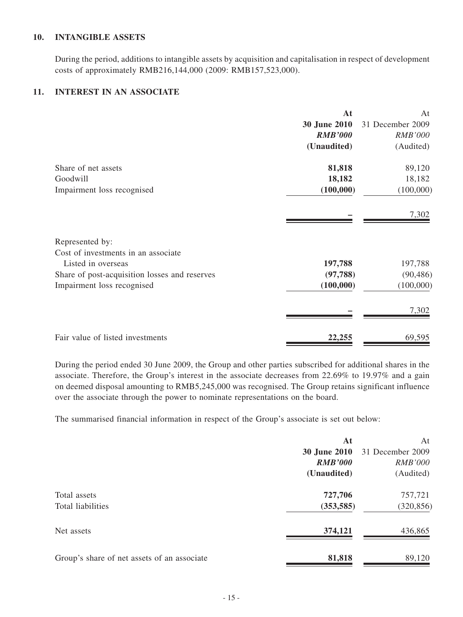#### **10. INTANGIBLE ASSETS**

During the period, additions to intangible assets by acquisition and capitalisation in respect of development costs of approximately RMB216,144,000 (2009: RMB157,523,000).

### **11. INTEREST IN AN ASSOCIATE**

|                                               | At             | At               |
|-----------------------------------------------|----------------|------------------|
|                                               | 30 June 2010   | 31 December 2009 |
|                                               | <b>RMB'000</b> | <b>RMB'000</b>   |
|                                               | (Unaudited)    | (Audited)        |
| Share of net assets                           | 81,818         | 89,120           |
| Goodwill                                      | 18,182         | 18,182           |
| Impairment loss recognised                    | (100,000)      | (100,000)        |
|                                               |                | 7,302            |
| Represented by:                               |                |                  |
| Cost of investments in an associate           |                |                  |
| Listed in overseas                            | 197,788        | 197,788          |
| Share of post-acquisition losses and reserves | (97, 788)      | (90, 486)        |
| Impairment loss recognised                    | (100,000)      | (100,000)        |
|                                               |                | 7,302            |
| Fair value of listed investments              | 22,255         | 69,595           |

During the period ended 30 June 2009, the Group and other parties subscribed for additional shares in the associate. Therefore, the Group's interest in the associate decreases from 22.69% to 19.97% and a gain on deemed disposal amounting to RMB5,245,000 was recognised. The Group retains significant influence over the associate through the power to nominate representations on the board.

The summarised financial information in respect of the Group's associate is set out below:

|                                             | At                  | At               |
|---------------------------------------------|---------------------|------------------|
|                                             | <b>30 June 2010</b> | 31 December 2009 |
|                                             | <b>RMB'000</b>      | <i>RMB'000</i>   |
|                                             | (Unaudited)         | (Audited)        |
| Total assets                                | 727,706             | 757,721          |
| Total liabilities                           | (353, 585)          | (320, 856)       |
| Net assets                                  | 374,121             | 436,865          |
| Group's share of net assets of an associate | 81,818              | 89,120           |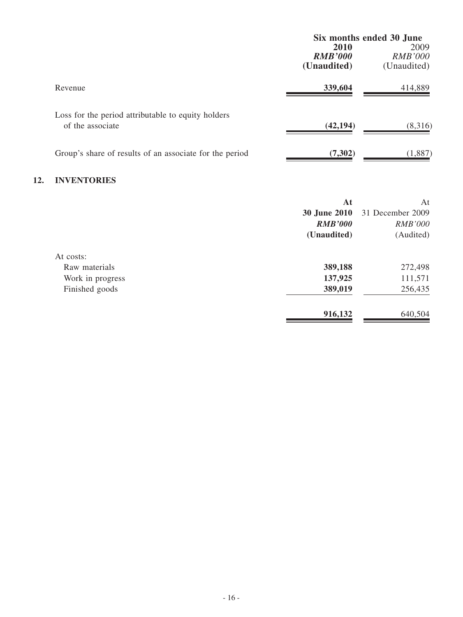|                                                                        | Six months ended 30 June |                |
|------------------------------------------------------------------------|--------------------------|----------------|
|                                                                        | 2010                     | 2009           |
|                                                                        | <b>RMB'000</b>           | <b>RMB'000</b> |
|                                                                        | (Unaudited)              | (Unaudited)    |
| Revenue                                                                | 339,604                  | 414,889        |
| Loss for the period attributable to equity holders<br>of the associate | (42, 194)                | (8,316)        |
| Group's share of results of an associate for the period                | (7,302)                  | (1,887)        |
|                                                                        |                          |                |

## **12. INVENTORIES**

|                  | At             | At               |
|------------------|----------------|------------------|
|                  | 30 June 2010   | 31 December 2009 |
|                  | <b>RMB'000</b> | <b>RMB'000</b>   |
|                  | (Unaudited)    | (Audited)        |
| At costs:        |                |                  |
| Raw materials    | 389,188        | 272,498          |
| Work in progress | 137,925        | 111,571          |
| Finished goods   | 389,019        | 256,435          |
|                  | 916,132        | 640,504          |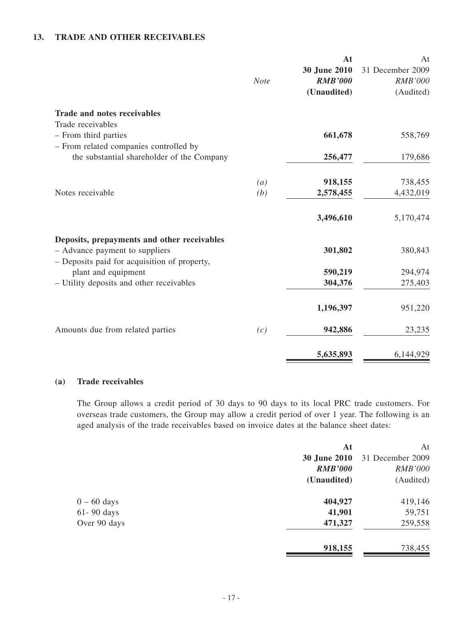#### **13. TRADE AND OTHER RECEIVABLES**

|                                              | <b>Note</b> | At<br>30 June 2010<br><b>RMB'000</b> | At<br>31 December 2009<br><b>RMB'000</b> |
|----------------------------------------------|-------------|--------------------------------------|------------------------------------------|
|                                              |             | (Unaudited)                          | (Audited)                                |
| <b>Trade and notes receivables</b>           |             |                                      |                                          |
| Trade receivables                            |             |                                      |                                          |
| - From third parties                         |             | 661,678                              | 558,769                                  |
| - From related companies controlled by       |             |                                      |                                          |
| the substantial shareholder of the Company   |             | 256,477                              | 179,686                                  |
|                                              | (a)         | 918,155                              | 738,455                                  |
| Notes receivable                             | (b)         | 2,578,455                            | 4,432,019                                |
|                                              |             |                                      |                                          |
|                                              |             | 3,496,610                            | 5,170,474                                |
| Deposits, prepayments and other receivables  |             |                                      |                                          |
| - Advance payment to suppliers               |             | 301,802                              | 380,843                                  |
| - Deposits paid for acquisition of property, |             |                                      |                                          |
| plant and equipment                          |             | 590,219                              | 294,974                                  |
| - Utility deposits and other receivables     |             | 304,376                              | 275,403                                  |
|                                              |             | 1,196,397                            | 951,220                                  |
| Amounts due from related parties             | (c)         | 942,886                              | 23,235                                   |
|                                              |             | 5,635,893                            | 6,144,929                                |

### **(a) Trade receivables**

The Group allows a credit period of 30 days to 90 days to its local PRC trade customers. For overseas trade customers, the Group may allow a credit period of over 1 year. The following is an aged analysis of the trade receivables based on invoice dates at the balance sheet dates:

| At                  | At               |
|---------------------|------------------|
| <b>30 June 2010</b> | 31 December 2009 |
| <b>RMB'000</b>      | <b>RMB'000</b>   |
| (Unaudited)         | (Audited)        |
| 404,927             | 419,146          |
| 41,901              | 59,751           |
| 471,327             | 259,558          |
| 918,155             | 738,455          |
|                     |                  |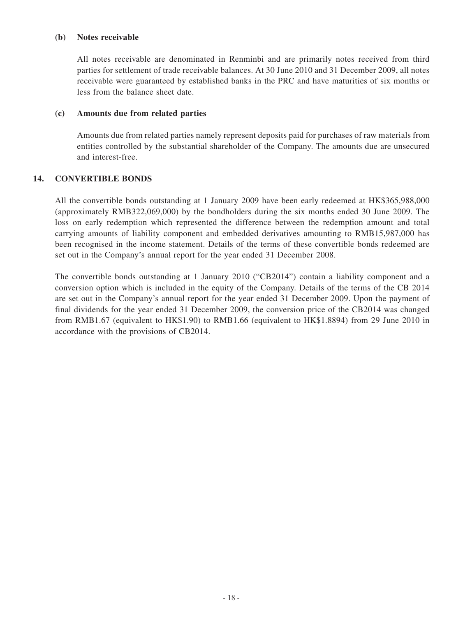#### **(b) Notes receivable**

All notes receivable are denominated in Renminbi and are primarily notes received from third parties for settlement of trade receivable balances. At 30 June 2010 and 31 December 2009, all notes receivable were guaranteed by established banks in the PRC and have maturities of six months or less from the balance sheet date.

#### **(c) Amounts due from related parties**

Amounts due from related parties namely represent deposits paid for purchases of raw materials from entities controlled by the substantial shareholder of the Company. The amounts due are unsecured and interest-free.

#### **14. CONVERTIBLE BONDS**

All the convertible bonds outstanding at 1 January 2009 have been early redeemed at HK\$365,988,000 (approximately RMB322,069,000) by the bondholders during the six months ended 30 June 2009. The loss on early redemption which represented the difference between the redemption amount and total carrying amounts of liability component and embedded derivatives amounting to RMB15,987,000 has been recognised in the income statement. Details of the terms of these convertible bonds redeemed are set out in the Company's annual report for the year ended 31 December 2008.

The convertible bonds outstanding at 1 January 2010 ("CB2014") contain a liability component and a conversion option which is included in the equity of the Company. Details of the terms of the CB 2014 are set out in the Company's annual report for the year ended 31 December 2009. Upon the payment of final dividends for the year ended 31 December 2009, the conversion price of the CB2014 was changed from RMB1.67 (equivalent to HK\$1.90) to RMB1.66 (equivalent to HK\$1.8894) from 29 June 2010 in accordance with the provisions of CB2014.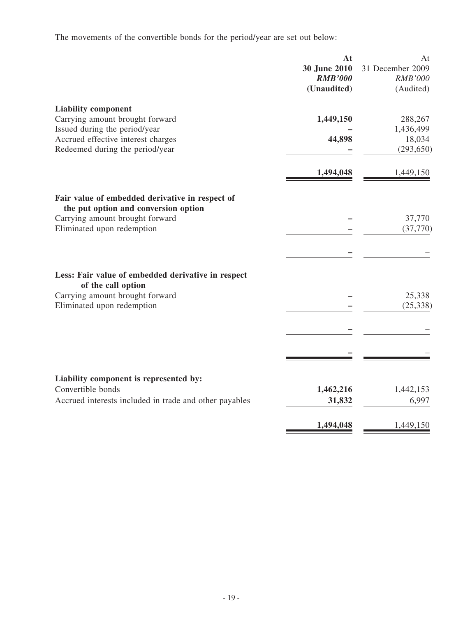The movements of the convertible bonds for the period/year are set out below:

|                                                                                                                                                                         | At<br>30 June 2010<br><b>RMB'000</b><br>(Unaudited) | At<br>31 December 2009<br><b>RMB'000</b><br>(Audited) |
|-------------------------------------------------------------------------------------------------------------------------------------------------------------------------|-----------------------------------------------------|-------------------------------------------------------|
| <b>Liability component</b><br>Carrying amount brought forward<br>Issued during the period/year<br>Accrued effective interest charges<br>Redeemed during the period/year | 1,449,150<br>44,898                                 | 288,267<br>1,436,499<br>18,034<br>(293, 650)          |
|                                                                                                                                                                         | 1,494,048                                           | 1,449,150                                             |
| Fair value of embedded derivative in respect of<br>the put option and conversion option<br>Carrying amount brought forward<br>Eliminated upon redemption                |                                                     | 37,770<br>(37,770)                                    |
| Less: Fair value of embedded derivative in respect<br>of the call option<br>Carrying amount brought forward<br>Eliminated upon redemption                               |                                                     | 25,338<br>(25, 338)                                   |
| Liability component is represented by:<br>Convertible bonds<br>Accrued interests included in trade and other payables                                                   | 1,462,216<br>31,832<br>1,494,048                    | 1,442,153<br>6,997<br>1,449,150                       |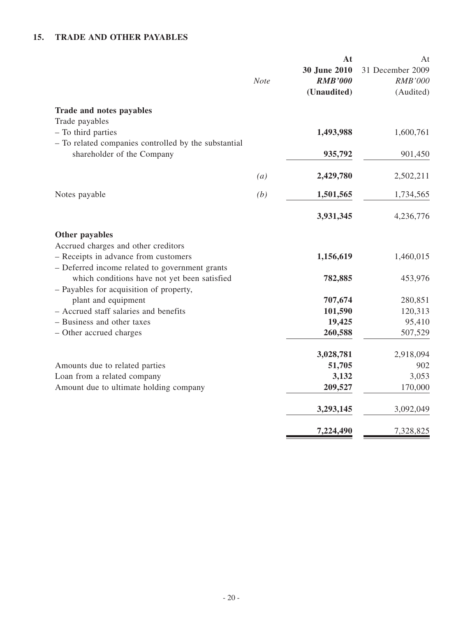## **15. TRADE AND OTHER PAYABLES**

|                                                                                                                                                 | <b>Note</b> | At<br>30 June 2010<br><b>RMB'000</b><br>(Unaudited) | At<br>31 December 2009<br><b>RMB'000</b><br>(Audited) |
|-------------------------------------------------------------------------------------------------------------------------------------------------|-------------|-----------------------------------------------------|-------------------------------------------------------|
| Trade and notes payables<br>Trade payables                                                                                                      |             |                                                     |                                                       |
| - To third parties                                                                                                                              |             | 1,493,988                                           | 1,600,761                                             |
| - To related companies controlled by the substantial<br>shareholder of the Company                                                              |             | 935,792                                             | 901,450                                               |
|                                                                                                                                                 | (a)         | 2,429,780                                           | 2,502,211                                             |
| Notes payable                                                                                                                                   | (b)         | 1,501,565                                           | 1,734,565                                             |
|                                                                                                                                                 |             | 3,931,345                                           | 4,236,776                                             |
| Other payables<br>Accrued charges and other creditors<br>- Receipts in advance from customers<br>- Deferred income related to government grants |             | 1,156,619                                           | 1,460,015                                             |
| which conditions have not yet been satisfied<br>- Payables for acquisition of property,                                                         |             | 782,885                                             | 453,976                                               |
| plant and equipment                                                                                                                             |             | 707,674                                             | 280,851                                               |
| - Accrued staff salaries and benefits                                                                                                           |             | 101,590                                             | 120,313                                               |
| - Business and other taxes                                                                                                                      |             | 19,425                                              | 95,410                                                |
| - Other accrued charges                                                                                                                         |             | 260,588                                             | 507,529                                               |
|                                                                                                                                                 |             | 3,028,781                                           | 2,918,094                                             |
| Amounts due to related parties                                                                                                                  |             | 51,705                                              | 902                                                   |
| Loan from a related company                                                                                                                     |             | 3,132                                               | 3,053                                                 |
| Amount due to ultimate holding company                                                                                                          |             | 209,527                                             | 170,000                                               |
|                                                                                                                                                 |             | 3,293,145                                           | 3,092,049                                             |
|                                                                                                                                                 |             | 7,224,490                                           | 7,328,825                                             |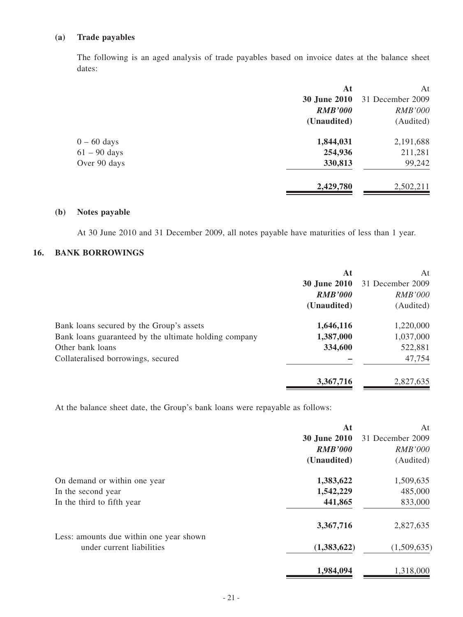### **(a) Trade payables**

The following is an aged analysis of trade payables based on invoice dates at the balance sheet dates:

|                | At             | At               |
|----------------|----------------|------------------|
|                | 30 June 2010   | 31 December 2009 |
|                | <b>RMB'000</b> | <b>RMB'000</b>   |
|                | (Unaudited)    | (Audited)        |
| $0 - 60$ days  | 1,844,031      | 2,191,688        |
| $61 - 90$ days | 254,936        | 211,281          |
| Over 90 days   | 330,813        | 99,242           |
|                | 2,429,780      | 2,502,211        |
|                |                |                  |

### **(b) Notes payable**

At 30 June 2010 and 31 December 2009, all notes payable have maturities of less than 1 year.

## **16. BANK BORROWINGS**

|                                                       | At                  | At               |
|-------------------------------------------------------|---------------------|------------------|
|                                                       | <b>30 June 2010</b> | 31 December 2009 |
|                                                       | <b>RMB'000</b>      | <b>RMB'000</b>   |
|                                                       | (Unaudited)         | (Audited)        |
| Bank loans secured by the Group's assets              | 1,646,116           | 1,220,000        |
| Bank loans guaranteed by the ultimate holding company | 1,387,000           | 1,037,000        |
| Other bank loans                                      | 334,600             | 522,881          |
| Collateralised borrowings, secured                    |                     | 47,754           |
|                                                       | 3,367,716           | 2,827,635        |

At the balance sheet date, the Group's bank loans were repayable as follows:

|                                                                      | At                  | At               |
|----------------------------------------------------------------------|---------------------|------------------|
|                                                                      | <b>30 June 2010</b> | 31 December 2009 |
|                                                                      | <b>RMB'000</b>      | <b>RMB'000</b>   |
|                                                                      | (Unaudited)         | (Audited)        |
| On demand or within one year                                         | 1,383,622           | 1,509,635        |
| In the second year                                                   | 1,542,229           | 485,000          |
| In the third to fifth year                                           | 441,865             | 833,000          |
|                                                                      | 3,367,716           | 2,827,635        |
| Less: amounts due within one year shown<br>under current liabilities | (1,383,622)         | (1,509,635)      |
|                                                                      | 1,984,094           | 1,318,000        |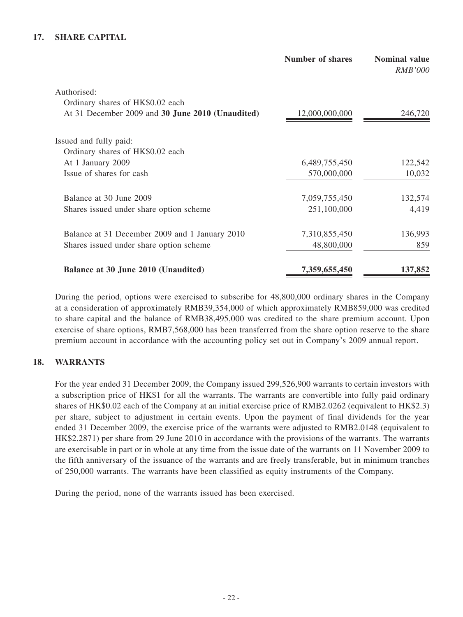### **17. SHARE CAPITAL**

|                                                  | <b>Number of shares</b> | <b>Nominal value</b><br><i>RMB'000</i> |
|--------------------------------------------------|-------------------------|----------------------------------------|
| Authorised:                                      |                         |                                        |
| Ordinary shares of HK\$0.02 each                 |                         |                                        |
| At 31 December 2009 and 30 June 2010 (Unaudited) | 12,000,000,000          | 246,720                                |
| Issued and fully paid:                           |                         |                                        |
| Ordinary shares of HK\$0.02 each                 |                         |                                        |
| At 1 January 2009                                | 6,489,755,450           | 122,542                                |
| Issue of shares for cash                         | 570,000,000             | 10,032                                 |
| Balance at 30 June 2009                          | 7,059,755,450           | 132,574                                |
| Shares issued under share option scheme          | 251,100,000             | 4,419                                  |
| Balance at 31 December 2009 and 1 January 2010   | 7,310,855,450           | 136,993                                |
| Shares issued under share option scheme          | 48,800,000              | 859                                    |
| Balance at 30 June 2010 (Unaudited)              | 7,359,655,450           | 137,852                                |

During the period, options were exercised to subscribe for 48,800,000 ordinary shares in the Company at a consideration of approximately RMB39,354,000 of which approximately RMB859,000 was credited to share capital and the balance of RMB38,495,000 was credited to the share premium account. Upon exercise of share options, RMB7,568,000 has been transferred from the share option reserve to the share premium account in accordance with the accounting policy set out in Company's 2009 annual report.

### **18. WARRANTS**

For the year ended 31 December 2009, the Company issued 299,526,900 warrants to certain investors with a subscription price of HK\$1 for all the warrants. The warrants are convertible into fully paid ordinary shares of HK\$0.02 each of the Company at an initial exercise price of RMB2.0262 (equivalent to HK\$2.3) per share, subject to adjustment in certain events. Upon the payment of final dividends for the year ended 31 December 2009, the exercise price of the warrants were adjusted to RMB2.0148 (equivalent to HK\$2.2871) per share from 29 June 2010 in accordance with the provisions of the warrants. The warrants are exercisable in part or in whole at any time from the issue date of the warrants on 11 November 2009 to the fifth anniversary of the issuance of the warrants and are freely transferable, but in minimum tranches of 250,000 warrants. The warrants have been classified as equity instruments of the Company.

During the period, none of the warrants issued has been exercised.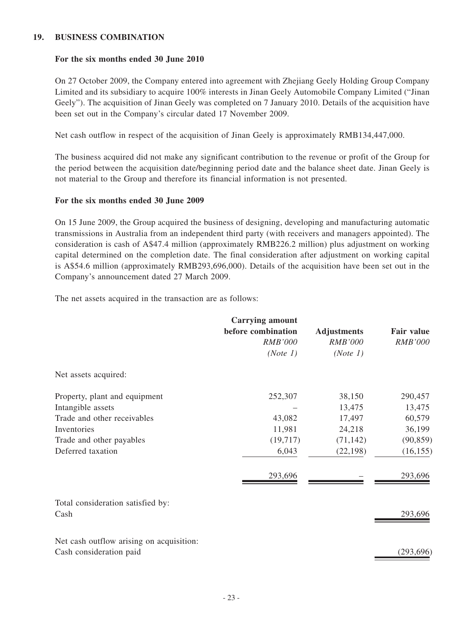#### **19. BUSINESS COMBINATION**

#### **For the six months ended 30 June 2010**

On 27 October 2009, the Company entered into agreement with Zhejiang Geely Holding Group Company Limited and its subsidiary to acquire 100% interests in Jinan Geely Automobile Company Limited ("Jinan Geely"). The acquisition of Jinan Geely was completed on 7 January 2010. Details of the acquisition have been set out in the Company's circular dated 17 November 2009.

Net cash outflow in respect of the acquisition of Jinan Geely is approximately RMB134,447,000.

The business acquired did not make any significant contribution to the revenue or profit of the Group for the period between the acquisition date/beginning period date and the balance sheet date. Jinan Geely is not material to the Group and therefore its financial information is not presented.

#### **For the six months ended 30 June 2009**

On 15 June 2009, the Group acquired the business of designing, developing and manufacturing automatic transmissions in Australia from an independent third party (with receivers and managers appointed). The consideration is cash of A\$47.4 million (approximately RMB226.2 million) plus adjustment on working capital determined on the completion date. The final consideration after adjustment on working capital is A\$54.6 million (approximately RMB293,696,000). Details of the acquisition have been set out in the Company's announcement dated 27 March 2009.

The net assets acquired in the transaction are as follows:

|                                           | <b>Carrying amount</b><br>before combination<br><b>RMB'000</b><br>(Note 1) | <b>Adjustments</b><br><b>RMB'000</b><br>(Note 1) | Fair value<br><b>RMB'000</b> |
|-------------------------------------------|----------------------------------------------------------------------------|--------------------------------------------------|------------------------------|
| Net assets acquired:                      |                                                                            |                                                  |                              |
| Property, plant and equipment             | 252,307                                                                    | 38,150                                           | 290,457                      |
| Intangible assets                         |                                                                            | 13,475                                           | 13,475                       |
| Trade and other receivables               | 43,082                                                                     | 17,497                                           | 60,579                       |
| Inventories                               | 11,981                                                                     | 24,218                                           | 36,199                       |
| Trade and other payables                  | (19,717)                                                                   | (71, 142)                                        | (90, 859)                    |
| Deferred taxation                         | 6,043                                                                      | (22, 198)                                        | (16, 155)                    |
|                                           | 293,696                                                                    |                                                  | 293,696                      |
| Total consideration satisfied by:<br>Cash |                                                                            |                                                  | 293,696                      |
| Net cash outflow arising on acquisition:  |                                                                            |                                                  |                              |
| Cash consideration paid                   |                                                                            |                                                  | (293, 696)                   |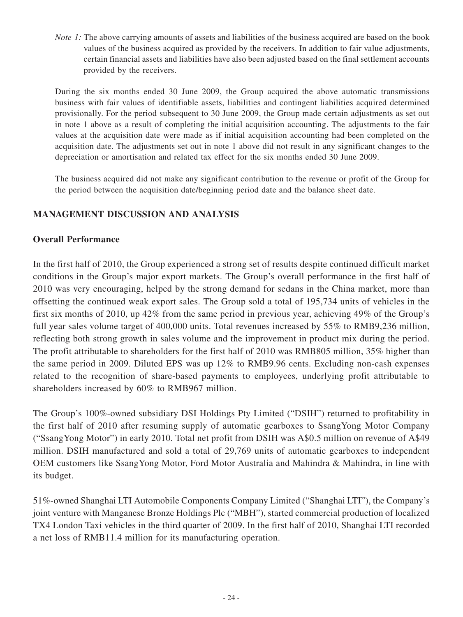*Note 1*: The above carrying amounts of assets and liabilities of the business acquired are based on the book values of the business acquired as provided by the receivers. In addition to fair value adjustments, certain financial assets and liabilities have also been adjusted based on the final settlement accounts provided by the receivers.

During the six months ended 30 June 2009, the Group acquired the above automatic transmissions business with fair values of identifiable assets, liabilities and contingent liabilities acquired determined provisionally. For the period subsequent to 30 June 2009, the Group made certain adjustments as set out in note 1 above as a result of completing the initial acquisition accounting. The adjustments to the fair values at the acquisition date were made as if initial acquisition accounting had been completed on the acquisition date. The adjustments set out in note 1 above did not result in any significant changes to the depreciation or amortisation and related tax effect for the six months ended 30 June 2009.

The business acquired did not make any significant contribution to the revenue or profit of the Group for the period between the acquisition date/beginning period date and the balance sheet date.

## **MANAGEMENT DISCUSSION AND ANALYSIS**

### **Overall Performance**

In the first half of 2010, the Group experienced a strong set of results despite continued difficult market conditions in the Group's major export markets. The Group's overall performance in the first half of 2010 was very encouraging, helped by the strong demand for sedans in the China market, more than offsetting the continued weak export sales. The Group sold a total of 195,734 units of vehicles in the first six months of 2010, up 42% from the same period in previous year, achieving 49% of the Group's full year sales volume target of 400,000 units. Total revenues increased by 55% to RMB9,236 million, reflecting both strong growth in sales volume and the improvement in product mix during the period. The profit attributable to shareholders for the first half of 2010 was RMB805 million, 35% higher than the same period in 2009. Diluted EPS was up 12% to RMB9.96 cents. Excluding non-cash expenses related to the recognition of share-based payments to employees, underlying profit attributable to shareholders increased by 60% to RMB967 million.

The Group's 100%-owned subsidiary DSI Holdings Pty Limited ("DSIH") returned to profitability in the first half of 2010 after resuming supply of automatic gearboxes to SsangYong Motor Company ("SsangYong Motor") in early 2010. Total net profit from DSIH was A\$0.5 million on revenue of A\$49 million. DSIH manufactured and sold a total of 29,769 units of automatic gearboxes to independent OEM customers like SsangYong Motor, Ford Motor Australia and Mahindra & Mahindra, in line with its budget.

51%-owned Shanghai LTI Automobile Components Company Limited ("Shanghai LTI"), the Company's joint venture with Manganese Bronze Holdings Plc ("MBH"), started commercial production of localized TX4 London Taxi vehicles in the third quarter of 2009. In the first half of 2010, Shanghai LTI recorded a net loss of RMB11.4 million for its manufacturing operation.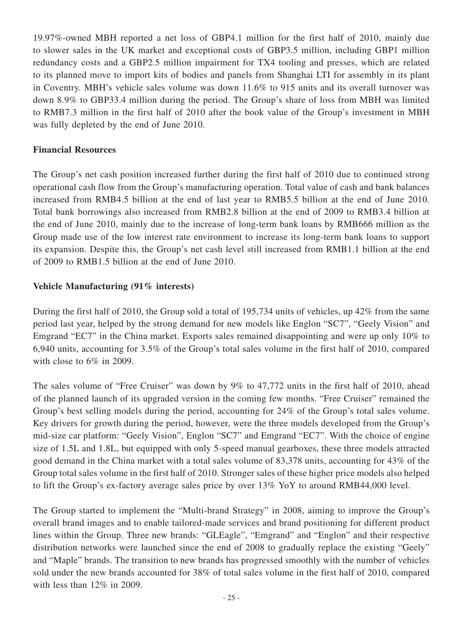19.97%-owned MBH reported a net loss of GBP4.1 million for the first half of 2010, mainly due to slower sales in the UK market and exceptional costs of GBP3.5 million, including GBP1 million redundancy costs and a GBP2.5 million impairment for TX4 tooling and presses, which are related to its planned move to import kits of bodies and panels from Shanghai LTI for assembly in its plant in Coventry. MBH's vehicle sales volume was down 11.6% to 915 units and its overall turnover was down 8.9% to GBP33.4 million during the period. The Group's share of loss from MBH was limited to RMB7.3 million in the first half of 2010 after the book value of the Group's investment in MBH was fully depleted by the end of June 2010.

### **Financial Resources**

The Group's net cash position increased further during the first half of 2010 due to continued strong operational cash flow from the Group's manufacturing operation. Total value of cash and bank balances increased from RMB4.5 billion at the end of last year to RMB5.5 billion at the end of June 2010. Total bank borrowings also increased from RMB2.8 billion at the end of 2009 to RMB3.4 billion at the end of June 2010, mainly due to the increase of long-term bank loans by RMB666 million as the Group made use of the low interest rate environment to increase its long-term bank loans to support its expansion. Despite this, the Group's net cash level still increased from RMB1.1 billion at the end of 2009 to RMB1.5 billion at the end of June 2010.

### **Vehicle Manufacturing (91% interests)**

During the first half of 2010, the Group sold a total of 195,734 units of vehicles, up 42% from the same period last year, helped by the strong demand for new models like Englon "SC7", "Geely Vision" and Emgrand "EC7" in the China market. Exports sales remained disappointing and were up only 10% to 6,940 units, accounting for 3.5% of the Group's total sales volume in the first half of 2010, compared with close to 6\% in 2009.

The sales volume of "Free Cruiser" was down by 9% to 47,772 units in the first half of 2010, ahead of the planned launch of its upgraded version in the coming few months. "Free Cruiser" remained the Group's best selling models during the period, accounting for 24% of the Group's total sales volume. Key drivers for growth during the period, however, were the three models developed from the Group's mid-size car platform: "Geely Vision", Englon "SC7" and Emgrand "EC7". With the choice of engine size of 1.5L and 1.8L, but equipped with only 5-speed manual gearboxes, these three models attracted good demand in the China market with a total sales volume of 83,378 units, accounting for 43% of the Group total sales volume in the first half of 2010. Stronger sales of these higher price models also helped to lift the Group's ex-factory average sales price by over 13% YoY to around RMB44,000 level.

The Group started to implement the "Multi-brand Strategy" in 2008, aiming to improve the Group's overall brand images and to enable tailored-made services and brand positioning for different product lines within the Group. Three new brands: "GLEagle", "Emgrand" and "Englon" and their respective distribution networks were launched since the end of 2008 to gradually replace the existing "Geely" and "Maple" brands. The transition to new brands has progressed smoothly with the number of vehicles sold under the new brands accounted for 38% of total sales volume in the first half of 2010, compared with less than 12% in 2009.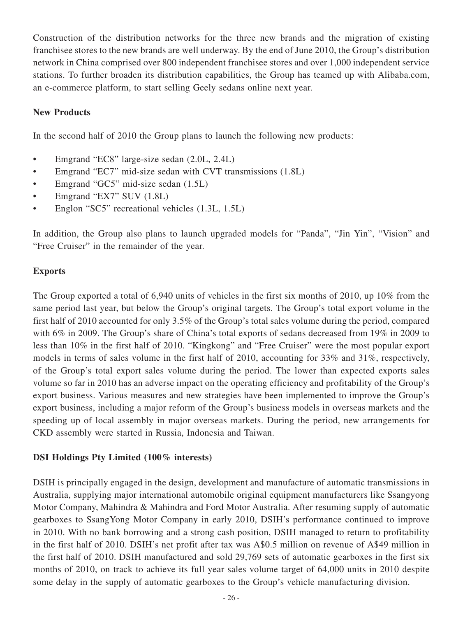Construction of the distribution networks for the three new brands and the migration of existing franchisee stores to the new brands are well underway. By the end of June 2010, the Group's distribution network in China comprised over 800 independent franchisee stores and over 1,000 independent service stations. To further broaden its distribution capabilities, the Group has teamed up with Alibaba.com, an e-commerce platform, to start selling Geely sedans online next year.

## **New Products**

In the second half of 2010 the Group plans to launch the following new products:

- Emgrand "EC8" large-size sedan (2.0L, 2.4L)
- Emgrand "EC7" mid-size sedan with CVT transmissions (1.8L)
- Emgrand "GC5" mid-size sedan (1.5L)
- Emgrand "EX7" SUV (1.8L)
- Englon "SC5" recreational vehicles  $(1.3L, 1.5L)$

In addition, the Group also plans to launch upgraded models for "Panda", "Jin Yin", "Vision" and "Free Cruiser" in the remainder of the year.

### **Exports**

The Group exported a total of 6,940 units of vehicles in the first six months of 2010, up 10% from the same period last year, but below the Group's original targets. The Group's total export volume in the first half of 2010 accounted for only 3.5% of the Group's total sales volume during the period, compared with 6% in 2009. The Group's share of China's total exports of sedans decreased from 19% in 2009 to less than 10% in the first half of 2010. "Kingkong" and "Free Cruiser" were the most popular export models in terms of sales volume in the first half of 2010, accounting for 33% and 31%, respectively, of the Group's total export sales volume during the period. The lower than expected exports sales volume so far in 2010 has an adverse impact on the operating efficiency and profitability of the Group's export business. Various measures and new strategies have been implemented to improve the Group's export business, including a major reform of the Group's business models in overseas markets and the speeding up of local assembly in major overseas markets. During the period, new arrangements for CKD assembly were started in Russia, Indonesia and Taiwan.

## **DSI Holdings Pty Limited (100% interests)**

DSIH is principally engaged in the design, development and manufacture of automatic transmissions in Australia, supplying major international automobile original equipment manufacturers like Ssangyong Motor Company, Mahindra & Mahindra and Ford Motor Australia. After resuming supply of automatic gearboxes to SsangYong Motor Company in early 2010, DSIH's performance continued to improve in 2010. With no bank borrowing and a strong cash position, DSIH managed to return to profitability in the first half of 2010. DSIH's net profit after tax was A\$0.5 million on revenue of A\$49 million in the first half of 2010. DSIH manufactured and sold 29,769 sets of automatic gearboxes in the first six months of 2010, on track to achieve its full year sales volume target of 64,000 units in 2010 despite some delay in the supply of automatic gearboxes to the Group's vehicle manufacturing division.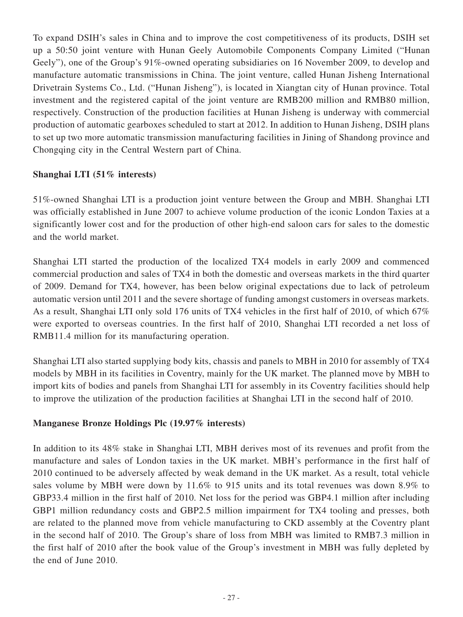To expand DSIH's sales in China and to improve the cost competitiveness of its products, DSIH set up a 50:50 joint venture with Hunan Geely Automobile Components Company Limited ("Hunan Geely"), one of the Group's 91%-owned operating subsidiaries on 16 November 2009, to develop and manufacture automatic transmissions in China. The joint venture, called Hunan Jisheng International Drivetrain Systems Co., Ltd. ("Hunan Jisheng"), is located in Xiangtan city of Hunan province. Total investment and the registered capital of the joint venture are RMB200 million and RMB80 million, respectively. Construction of the production facilities at Hunan Jisheng is underway with commercial production of automatic gearboxes scheduled to start at 2012. In addition to Hunan Jisheng, DSIH plans to set up two more automatic transmission manufacturing facilities in Jining of Shandong province and Chongqing city in the Central Western part of China.

## **Shanghai LTI (51% interests)**

51%-owned Shanghai LTI is a production joint venture between the Group and MBH. Shanghai LTI was officially established in June 2007 to achieve volume production of the iconic London Taxies at a significantly lower cost and for the production of other high-end saloon cars for sales to the domestic and the world market.

Shanghai LTI started the production of the localized TX4 models in early 2009 and commenced commercial production and sales of TX4 in both the domestic and overseas markets in the third quarter of 2009. Demand for TX4, however, has been below original expectations due to lack of petroleum automatic version until 2011 and the severe shortage of funding amongst customers in overseas markets. As a result, Shanghai LTI only sold 176 units of TX4 vehicles in the first half of 2010, of which 67% were exported to overseas countries. In the first half of 2010, Shanghai LTI recorded a net loss of RMB11.4 million for its manufacturing operation.

Shanghai LTI also started supplying body kits, chassis and panels to MBH in 2010 for assembly of TX4 models by MBH in its facilities in Coventry, mainly for the UK market. The planned move by MBH to import kits of bodies and panels from Shanghai LTI for assembly in its Coventry facilities should help to improve the utilization of the production facilities at Shanghai LTI in the second half of 2010.

## **Manganese Bronze Holdings Plc (19.97% interests)**

In addition to its 48% stake in Shanghai LTI, MBH derives most of its revenues and profit from the manufacture and sales of London taxies in the UK market. MBH's performance in the first half of 2010 continued to be adversely affected by weak demand in the UK market. As a result, total vehicle sales volume by MBH were down by 11.6% to 915 units and its total revenues was down 8.9% to GBP33.4 million in the first half of 2010. Net loss for the period was GBP4.1 million after including GBP1 million redundancy costs and GBP2.5 million impairment for TX4 tooling and presses, both are related to the planned move from vehicle manufacturing to CKD assembly at the Coventry plant in the second half of 2010. The Group's share of loss from MBH was limited to RMB7.3 million in the first half of 2010 after the book value of the Group's investment in MBH was fully depleted by the end of June 2010.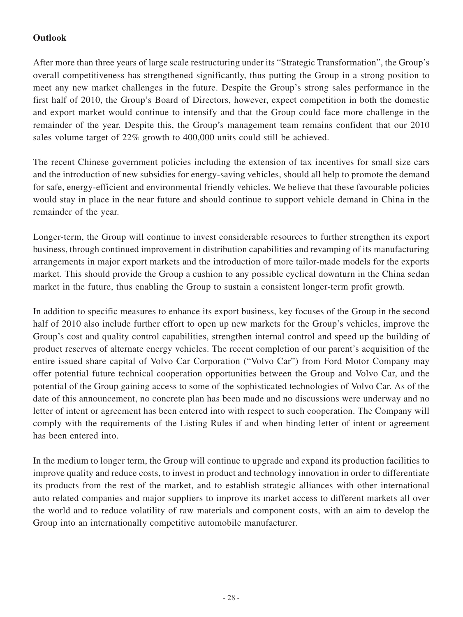## **Outlook**

After more than three years of large scale restructuring under its "Strategic Transformation", the Group's overall competitiveness has strengthened significantly, thus putting the Group in a strong position to meet any new market challenges in the future. Despite the Group's strong sales performance in the first half of 2010, the Group's Board of Directors, however, expect competition in both the domestic and export market would continue to intensify and that the Group could face more challenge in the remainder of the year. Despite this, the Group's management team remains confident that our 2010 sales volume target of 22% growth to 400,000 units could still be achieved.

The recent Chinese government policies including the extension of tax incentives for small size cars and the introduction of new subsidies for energy-saving vehicles, should all help to promote the demand for safe, energy-efficient and environmental friendly vehicles. We believe that these favourable policies would stay in place in the near future and should continue to support vehicle demand in China in the remainder of the year.

Longer-term, the Group will continue to invest considerable resources to further strengthen its export business, through continued improvement in distribution capabilities and revamping of its manufacturing arrangements in major export markets and the introduction of more tailor-made models for the exports market. This should provide the Group a cushion to any possible cyclical downturn in the China sedan market in the future, thus enabling the Group to sustain a consistent longer-term profit growth.

In addition to specific measures to enhance its export business, key focuses of the Group in the second half of 2010 also include further effort to open up new markets for the Group's vehicles, improve the Group's cost and quality control capabilities, strengthen internal control and speed up the building of product reserves of alternate energy vehicles. The recent completion of our parent's acquisition of the entire issued share capital of Volvo Car Corporation ("Volvo Car") from Ford Motor Company may offer potential future technical cooperation opportunities between the Group and Volvo Car, and the potential of the Group gaining access to some of the sophisticated technologies of Volvo Car. As of the date of this announcement, no concrete plan has been made and no discussions were underway and no letter of intent or agreement has been entered into with respect to such cooperation. The Company will comply with the requirements of the Listing Rules if and when binding letter of intent or agreement has been entered into.

In the medium to longer term, the Group will continue to upgrade and expand its production facilities to improve quality and reduce costs, to invest in product and technology innovation in order to differentiate its products from the rest of the market, and to establish strategic alliances with other international auto related companies and major suppliers to improve its market access to different markets all over the world and to reduce volatility of raw materials and component costs, with an aim to develop the Group into an internationally competitive automobile manufacturer.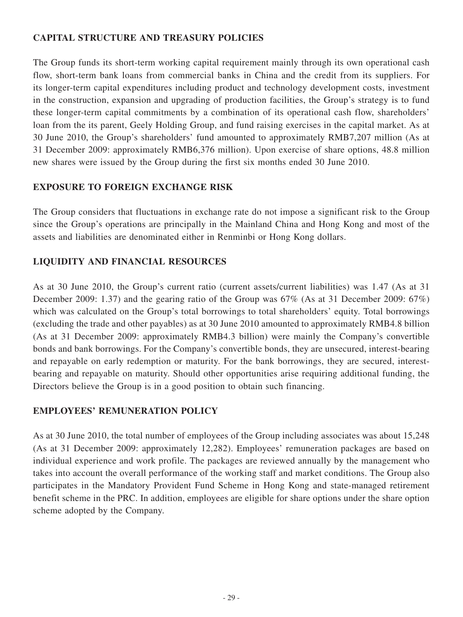## **CAPITAL STRUCTURE AND TREASURY POLICIES**

The Group funds its short-term working capital requirement mainly through its own operational cash flow, short-term bank loans from commercial banks in China and the credit from its suppliers. For its longer-term capital expenditures including product and technology development costs, investment in the construction, expansion and upgrading of production facilities, the Group's strategy is to fund these longer-term capital commitments by a combination of its operational cash flow, shareholders' loan from the its parent, Geely Holding Group, and fund raising exercises in the capital market. As at 30 June 2010, the Group's shareholders' fund amounted to approximately RMB7,207 million (As at 31 December 2009: approximately RMB6,376 million). Upon exercise of share options, 48.8 million new shares were issued by the Group during the first six months ended 30 June 2010.

## **EXPOSURE TO FOREIGN EXCHANGE RISK**

The Group considers that fluctuations in exchange rate do not impose a significant risk to the Group since the Group's operations are principally in the Mainland China and Hong Kong and most of the assets and liabilities are denominated either in Renminbi or Hong Kong dollars.

## **LIQUIDITY AND FINANCIAL RESOURCES**

As at 30 June 2010, the Group's current ratio (current assets/current liabilities) was 1.47 (As at 31 December 2009: 1.37) and the gearing ratio of the Group was 67% (As at 31 December 2009: 67%) which was calculated on the Group's total borrowings to total shareholders' equity. Total borrowings (excluding the trade and other payables) as at 30 June 2010 amounted to approximately RMB4.8 billion (As at 31 December 2009: approximately RMB4.3 billion) were mainly the Company's convertible bonds and bank borrowings. For the Company's convertible bonds, they are unsecured, interest-bearing and repayable on early redemption or maturity. For the bank borrowings, they are secured, interestbearing and repayable on maturity. Should other opportunities arise requiring additional funding, the Directors believe the Group is in a good position to obtain such financing.

## **EMPLOYEES' REMUNERATION POLICY**

As at 30 June 2010, the total number of employees of the Group including associates was about 15,248 (As at 31 December 2009: approximately 12,282). Employees' remuneration packages are based on individual experience and work profile. The packages are reviewed annually by the management who takes into account the overall performance of the working staff and market conditions. The Group also participates in the Mandatory Provident Fund Scheme in Hong Kong and state-managed retirement benefit scheme in the PRC. In addition, employees are eligible for share options under the share option scheme adopted by the Company.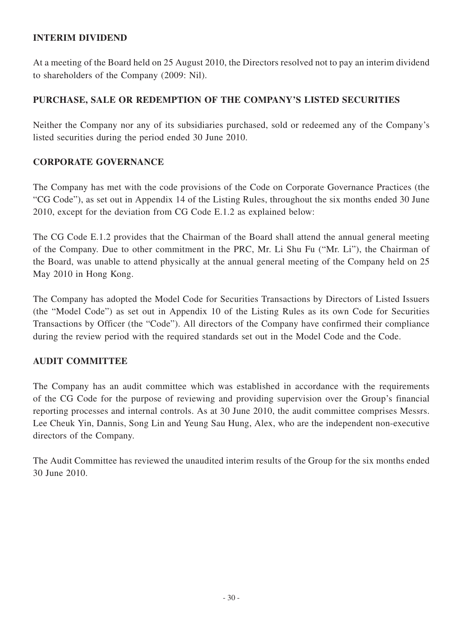## **INTERIM DIVIDEND**

At a meeting of the Board held on 25 August 2010, the Directors resolved not to pay an interim dividend to shareholders of the Company (2009: Nil).

## **PURCHASE, SALE OR REDEMPTION OF THE COMPANY'S LISTED SECURITIES**

Neither the Company nor any of its subsidiaries purchased, sold or redeemed any of the Company's listed securities during the period ended 30 June 2010.

## **CORPORATE GOVERNANCE**

The Company has met with the code provisions of the Code on Corporate Governance Practices (the "CG Code"), as set out in Appendix 14 of the Listing Rules, throughout the six months ended 30 June 2010, except for the deviation from CG Code E.1.2 as explained below:

The CG Code E.1.2 provides that the Chairman of the Board shall attend the annual general meeting of the Company. Due to other commitment in the PRC, Mr. Li Shu Fu ("Mr. Li"), the Chairman of the Board, was unable to attend physically at the annual general meeting of the Company held on 25 May 2010 in Hong Kong.

The Company has adopted the Model Code for Securities Transactions by Directors of Listed Issuers (the "Model Code") as set out in Appendix 10 of the Listing Rules as its own Code for Securities Transactions by Officer (the "Code"). All directors of the Company have confirmed their compliance during the review period with the required standards set out in the Model Code and the Code.

## **AUDIT COMMITTEE**

The Company has an audit committee which was established in accordance with the requirements of the CG Code for the purpose of reviewing and providing supervision over the Group's financial reporting processes and internal controls. As at 30 June 2010, the audit committee comprises Messrs. Lee Cheuk Yin, Dannis, Song Lin and Yeung Sau Hung, Alex, who are the independent non-executive directors of the Company.

The Audit Committee has reviewed the unaudited interim results of the Group for the six months ended 30 June 2010.